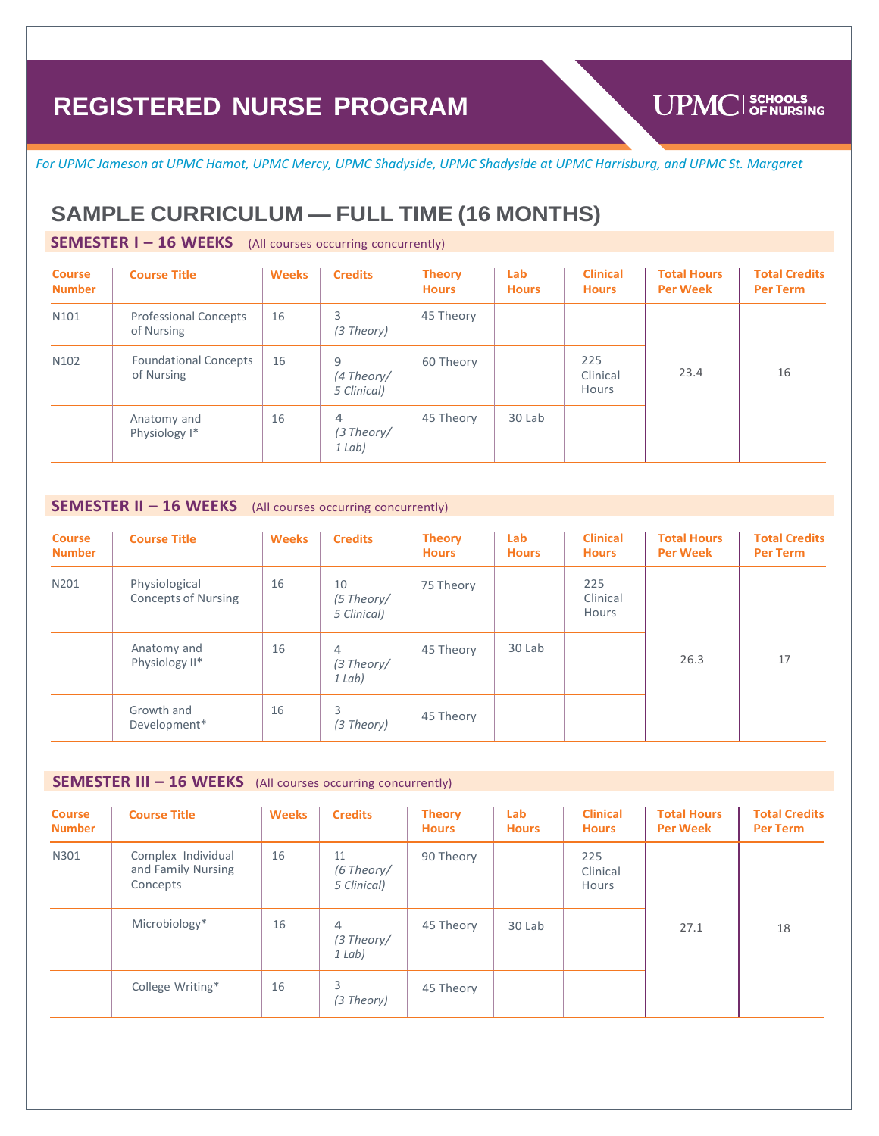# **UPMC** SCHOOLS

*For UPMC Jameson at UPMC Hamot, UPMC Mercy, UPMC Shadyside, UPMC Shadyside at UPMC Harrisburg, and UPMC St. Margaret*

# **SAMPLE CURRICULUM — FULL TIME (16 MONTHS)**

### **SEMESTER I – 16 WEEKS** (All courses occurring concurrently)

| <b>Course</b><br><b>Number</b> | <b>Course Title</b>                        | <b>Weeks</b> | <b>Credits</b>                             | <b>Theory</b><br><b>Hours</b> | Lab<br><b>Hours</b> | <b>Clinical</b><br><b>Hours</b> | <b>Total Hours</b><br><b>Per Week</b> | <b>Total Credits</b><br><b>Per Term</b> |
|--------------------------------|--------------------------------------------|--------------|--------------------------------------------|-------------------------------|---------------------|---------------------------------|---------------------------------------|-----------------------------------------|
| N <sub>101</sub>               | <b>Professional Concepts</b><br>of Nursing | 16           | 3<br>(3 Theory)                            | 45 Theory                     |                     |                                 |                                       |                                         |
| N <sub>1</sub> 02              | <b>Foundational Concepts</b><br>of Nursing | 16           | 9<br>(4 Theory/<br>5 Clinical)             | 60 Theory                     |                     | 225<br>Clinical<br>Hours        | 23.4                                  | 16                                      |
|                                | Anatomy and<br>Physiology I*               | 16           | $\overline{4}$<br>$(3$ Theory/<br>$1$ Lab) | 45 Theory                     | 30 Lab              |                                 |                                       |                                         |

### **SEMESTER II – 16 WEEKS** (All courses occurring concurrently)

| <b>Course</b><br><b>Number</b> | <b>Course Title</b>                         | <b>Weeks</b> | <b>Credits</b>                  | <b>Theory</b><br><b>Hours</b> | Lab<br><b>Hours</b> | <b>Clinical</b><br><b>Hours</b> | <b>Total Hours</b><br><b>Per Week</b> | <b>Total Credits</b><br><b>Per Term</b> |
|--------------------------------|---------------------------------------------|--------------|---------------------------------|-------------------------------|---------------------|---------------------------------|---------------------------------------|-----------------------------------------|
| N201                           | Physiological<br><b>Concepts of Nursing</b> | 16           | 10<br>(5 Theory/<br>5 Clinical) | 75 Theory                     |                     | 225<br>Clinical<br>Hours        |                                       |                                         |
|                                | Anatomy and<br>Physiology II*               | 16           | 4<br>$(3$ Theory/<br>1 Lab)     | 45 Theory                     | 30 Lab              |                                 | 26.3                                  | 17                                      |
|                                | Growth and<br>Development*                  | 16           | 3<br>(3 Theory)                 | 45 Theory                     |                     |                                 |                                       |                                         |

### **SEMESTER III – 16 WEEKS** (All courses occurring concurrently)

| <b>Course</b><br><b>Number</b> | <b>Course Title</b>                                  | <b>Weeks</b> | <b>Credits</b>                  | <b>Theory</b><br><b>Hours</b> | Lab<br><b>Hours</b> | <b>Clinical</b><br><b>Hours</b> | <b>Total Hours</b><br><b>Per Week</b> | <b>Total Credits</b><br><b>Per Term</b> |
|--------------------------------|------------------------------------------------------|--------------|---------------------------------|-------------------------------|---------------------|---------------------------------|---------------------------------------|-----------------------------------------|
| N301                           | Complex Individual<br>and Family Nursing<br>Concepts | 16           | 11<br>(6 Theory/<br>5 Clinical) | 90 Theory                     |                     | 225<br>Clinical<br>Hours        |                                       |                                         |
|                                | Microbiology*                                        | 16           | 4<br>(3 Theory/<br>1 Lab)       | 45 Theory                     | 30 Lab              |                                 | 27.1                                  | 18                                      |
|                                | College Writing*                                     | 16           | 3<br>(3 Theory)                 | 45 Theory                     |                     |                                 |                                       |                                         |